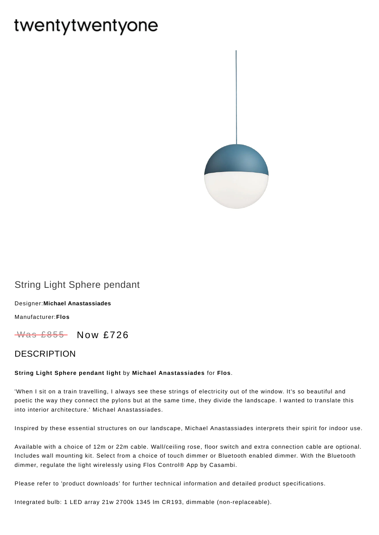# twentytwentyone



## String Light Sphere pendant

Designer:**Michael [Anastassiades](https://www.twentytwentyone.com/collections/designers-michael-anastassiades)**

[Manufacturer:](https://www.twentytwentyone.com/collections/manufacturers-flos)**Flos**

Was £855 Now £726

### DESCRIPTION

#### **String Light Sphere pendant light** by **Michael [Anastassiades](http://twentytwentyone.com/designer/michael-anastassiades)** for **[Flos](http://twentytwentyone.com/manufacturer/flos)**.

'When I sit on a train travelling, I always see these strings of electricity out of the window. It's so beautiful and poetic the way they connect the pylons but at the same time, they divide the landscape. I wanted to translate this into interior architecture.' Michael Anastassiades.

Inspired by these essential structures on our landscape, Michael Anastassiades interprets their spirit for indoor use.

Available with a choice of 12m or 22m cable. Wall/ceiling rose, floor switch and extra connection cable are optional. Includes wall mounting kit. Select from a choice of touch dimmer or Bluetooth enabled dimmer. With the Bluetooth dimmer, regulate the light wirelessly using Flos Control® App by Casambi.

Please refer to 'product downloads' for further technical information and detailed product specifications.

Integrated bulb: 1 LED array 21w 2700k 1345 lm CR193, dimmable (non-replaceable).